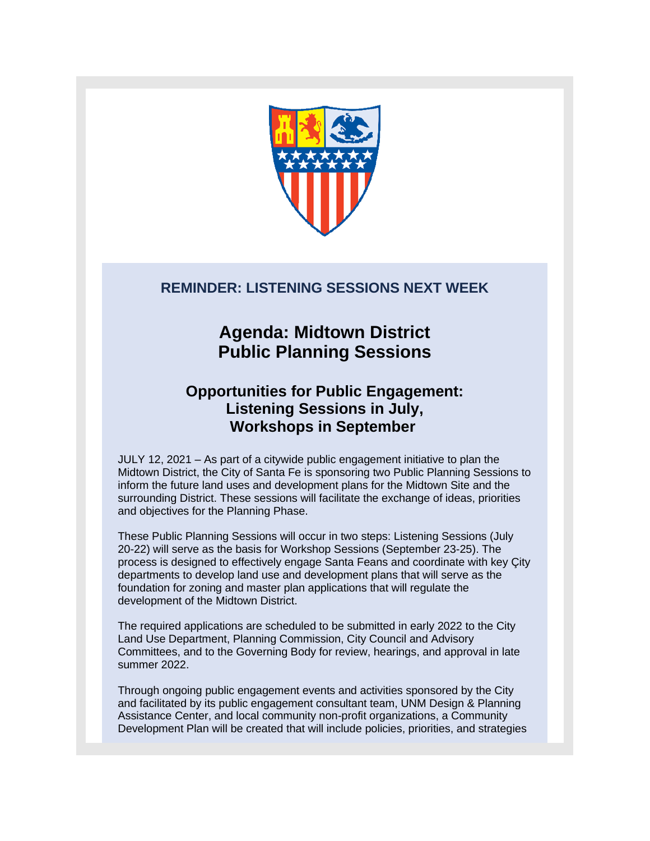

## **REMINDER: LISTENING SESSIONS NEXT WEEK**

# **Agenda: Midtown District Public Planning Sessions**

# **Opportunities for Public Engagement: Listening Sessions in July, Workshops in September**

JULY 12, 2021 – As part of a citywide public engagement initiative to plan the Midtown District, the City of Santa Fe is sponsoring two Public Planning Sessions to inform the future land uses and development plans for the Midtown Site and the surrounding District. These sessions will facilitate the exchange of ideas, priorities and objectives for the Planning Phase.

These Public Planning Sessions will occur in two steps: Listening Sessions (July 20-22) will serve as the basis for Workshop Sessions (September 23-25). The process is designed to effectively engage Santa Feans and coordinate with key Çity departments to develop land use and development plans that will serve as the foundation for zoning and master plan applications that will regulate the development of the Midtown District.

The required applications are scheduled to be submitted in early 2022 to the City Land Use Department, Planning Commission, City Council and Advisory Committees, and to the Governing Body for review, hearings, and approval in late summer 2022.

Through ongoing public engagement events and activities sponsored by the City and facilitated by its public engagement consultant team, UNM Design & Planning Assistance Center, and local community non-profit organizations, a Community Development Plan will be created that will include policies, priorities, and strategies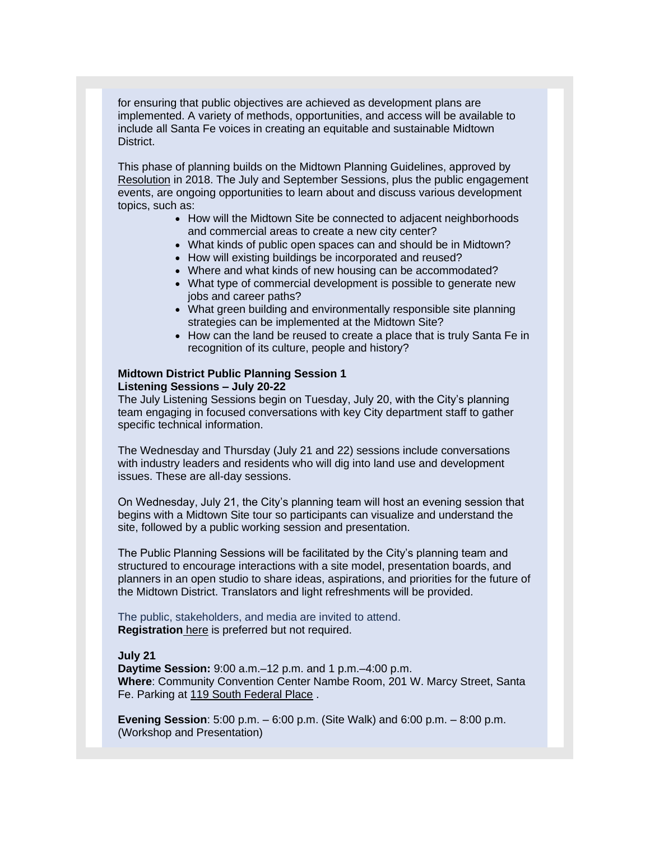for ensuring that public objectives are achieved as development plans are implemented. A variety of methods, opportunities, and access will be available to include all Santa Fe voices in creating an equitable and sustainable Midtown District.

This phase of planning builds on the Midtown Planning Guidelines, approved by [Resolution](https://r20.rs6.net/tn.jsp?f=001AklK_I5iKeXVVvT0e8nDh6JfQg4s_u5ckbBBgYxiVZUxfmXPf-Rz3Smk5W2BNVM9o2k1NVPssI8YZv5-lLH0Nhl3bFurGUxcUnNWgHfRWV_OqrYq8jRpktLi_vkjuGND4aCIGLgjEliWKXu43cDvHtXOso8twqfxTrUURZDPefLpPJMCC-tjLLqIf1DXjIQ6&c=3tVPx32kPHntUaq7wBiCloTMzUZJFog0DxIzBVezAfHyJdCfZ38H-w==&ch=ZP_aNEyCuKr7SWYMr488nF9Jt1vg2fUiZg6d52ZTJgf8O95vRHmkZg==) in 2018. The July and September Sessions, plus the public engagement events, are ongoing opportunities to learn about and discuss various development topics, such as:

- How will the Midtown Site be connected to adjacent neighborhoods and commercial areas to create a new city center?
- What kinds of public open spaces can and should be in Midtown?
- How will existing buildings be incorporated and reused?
- Where and what kinds of new housing can be accommodated?
- What type of commercial development is possible to generate new jobs and career paths?
- What green building and environmentally responsible site planning strategies can be implemented at the Midtown Site?
- How can the land be reused to create a place that is truly Santa Fe in recognition of its culture, people and history?

### **Midtown District Public Planning Session 1 Listening Sessions – July 20-22**

The July Listening Sessions begin on Tuesday, July 20, with the City's planning team engaging in focused conversations with key City department staff to gather specific technical information.

The Wednesday and Thursday (July 21 and 22) sessions include conversations with industry leaders and residents who will dig into land use and development issues. These are all-day sessions.

On Wednesday, July 21, the City's planning team will host an evening session that begins with a Midtown Site tour so participants can visualize and understand the site, followed by a public working session and presentation.

The Public Planning Sessions will be facilitated by the City's planning team and structured to encourage interactions with a site model, presentation boards, and planners in an open studio to share ideas, aspirations, and priorities for the future of the Midtown District. Translators and light refreshments will be provided.

The public, stakeholders, and media are invited to attend. **Registration** [here](https://r20.rs6.net/tn.jsp?f=001AklK_I5iKeXVVvT0e8nDh6JfQg4s_u5ckbBBgYxiVZUxfmXPf-Rz3Smk5W2BNVM9TxvIsVA89idDBYNeM0nz3_NAPsjAqRClVlE7ziDPGprMP_GXuP60WMBRvsUszXH1-W31KMqxd8WfqtqWXnB5j6PfyHgSym-QHDoIS9Q78FTkmYNvklZbFZxIRroFNgWPIndVhy3cvQchsXuSrRCcBGwWxPoP1wjihoLMjsTncR0GZfLrWSUzbdNeIsC6NFzy&c=3tVPx32kPHntUaq7wBiCloTMzUZJFog0DxIzBVezAfHyJdCfZ38H-w==&ch=ZP_aNEyCuKr7SWYMr488nF9Jt1vg2fUiZg6d52ZTJgf8O95vRHmkZg==) is preferred but not required.

#### **July 21**

**Daytime Session:** 9:00 a.m.–12 p.m. and 1 p.m.–4:00 p.m. **Where**: Community Convention Center Nambe Room, 201 W. Marcy Street, Santa Fe. Parking at [119 South Federal Place](https://r20.rs6.net/tn.jsp?f=001AklK_I5iKeXVVvT0e8nDh6JfQg4s_u5ckbBBgYxiVZUxfmXPf-Rz3Smk5W2BNVM9IMUJRsu2r1_Yheb4OSM10kr2_ki32Vk1eQOyULcce6fjRYt9Rw11TSqbKGs3SZIgzjGTQ8CY3R5lV7PMP93GPKpExu6OIZXNpoeg9vh4uQJm0WgPgwNctG6uv8wDd03_0FOqBFFkUfzyAIDAvSJrcyNCGcjudxkoGrH63fF7pYTxSyT9T69GuwaejZ6mJS08DnP55QvB3Mryku5oq2e_OnBuvAhUrKw5jX3ZKV8yYW9AiOEljydIJET1QVi9ObDY8QF1XHp6r_l0MkrTkJoLz8BSQtGO7gxqkrUGTgm2SJaEDnViWisi87fDOfNsBC4wa7Ar5VItPY60NdP4c2hz1oNn6nK79wbhRiWix47SH_V48Gr7IqyD_iQYJBVjt3PO-JWZBzdnq1sTSbzb7Oc8HfPcY3VZzJVn4BOxOtvI1XGxko5renYesuaCeCfFuYH-XEmsPqY9Dgo6b-x7VQc4vrtlfRmZBzVWLffISldMwKh8jR7yjxmjQqgkEShChBfUBq-LGq1B67T4gdOQ6e1aA1tW-aDIyhdqFymcmQZn_k_tZXJc2bpWwTUzxEiQKxs1HMe9TZvcf5BLVwG1e52-V-TgvGk14LU__o594aczHypAmVmSUGtLsUQWToAgzz2Vi_79ncSMh-NV3E7Le8njGT_V7WW-M0ycfcTrDvMdbLFNiAnWXS_IlXqj10pS__vVPZ9RnSI1yqzp4sqShLDlFWQOSZc94wC3DfAzUixwzKs2p8ueNc0Q1GmTrpQwOOPQyY5hpdAEGimhnm8nJQKFzaW7XVhfLaD2cW7WU3u9oplY16YN1fs3gvJv4C4h2DV_go-aW3LWbwtQ-XDoR1nsW1VkC6TvZz7OLyjFU0JJUaPK5MP0-ZHLM_JW_GA6ukISLQWYDdSr9z_MUEgNWynlsK0pMKRjG_erShlJEYRvPxvdNpqqGoIuqQ1Y6gfnDom1jvfP6QMsgMGGOYm4ZFchXL9VXgXc63lEXlLMgET0DXDoBcpPRaYLXtFgm7MpN0R8aSCpIeOXqpOmY63oosqAV0RPT1XYTwZLguQt-2i2NlHAvGACmyc0Erkl8cLxQgPgPnOBdtRfsUQrR0G4j3JjkxJHsjPClzuMslwMAk0Q6Yppnp_mkd9TuN0Vh7oe1kmsUoy33NlIjevxKy0mFXhp5G2kOHnu8g7Uju8rVp1QSuT6ppnKvqAB9V0zTsoT1AjAloeEl-s5UdnBJxxxzvxbIHdk606gP8Kep5Ik6f28J-XJ-L5pwD99V3Na_6yWDxsYX3UBUVCzj8sXU2o4g9AbDzkqkHcwSll_&c=3tVPx32kPHntUaq7wBiCloTMzUZJFog0DxIzBVezAfHyJdCfZ38H-w==&ch=ZP_aNEyCuKr7SWYMr488nF9Jt1vg2fUiZg6d52ZTJgf8O95vRHmkZg==) .

**Evening Session**: 5:00 p.m. – 6:00 p.m. (Site Walk) and 6:00 p.m. – 8:00 p.m. (Workshop and Presentation)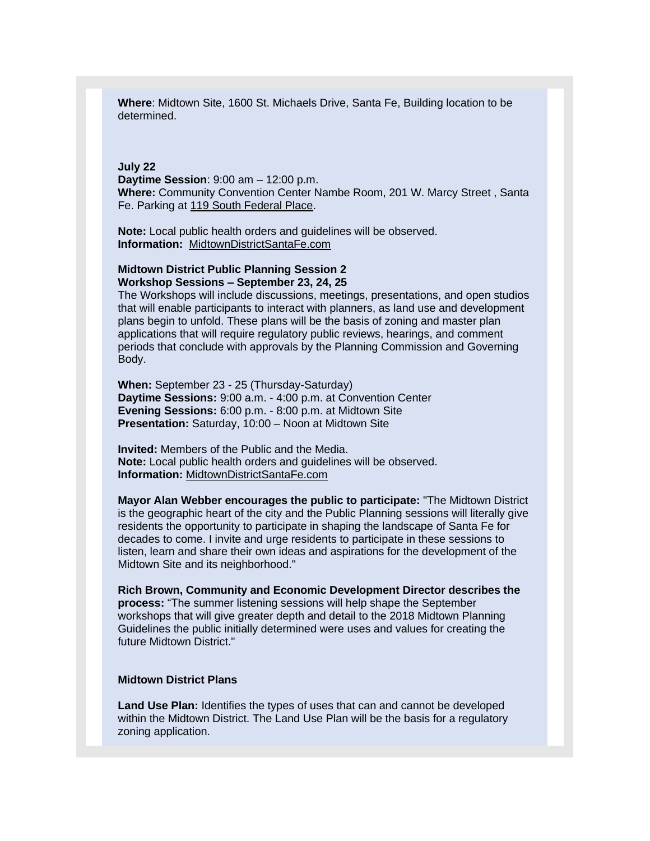**Where**: Midtown Site, 1600 St. Michaels Drive, Santa Fe, Building location to be determined.

#### **July 22**

**Daytime Session**: 9:00 am – 12:00 p.m. **Where:** Community Convention Center Nambe Room, 201 W. Marcy Street , Santa Fe. Parking at [119 South Federal Place.](https://r20.rs6.net/tn.jsp?f=001AklK_I5iKeXVVvT0e8nDh6JfQg4s_u5ckbBBgYxiVZUxfmXPf-Rz3Smk5W2BNVM9IMUJRsu2r1_Yheb4OSM10kr2_ki32Vk1eQOyULcce6fjRYt9Rw11TSqbKGs3SZIgzjGTQ8CY3R5lV7PMP93GPKpExu6OIZXNpoeg9vh4uQJm0WgPgwNctG6uv8wDd03_0FOqBFFkUfzyAIDAvSJrcyNCGcjudxkoGrH63fF7pYTxSyT9T69GuwaejZ6mJS08DnP55QvB3Mryku5oq2e_OnBuvAhUrKw5jX3ZKV8yYW9AiOEljydIJET1QVi9ObDY8QF1XHp6r_l0MkrTkJoLz8BSQtGO7gxqkrUGTgm2SJaEDnViWisi87fDOfNsBC4wa7Ar5VItPY60NdP4c2hz1oNn6nK79wbhRiWix47SH_V48Gr7IqyD_iQYJBVjt3PO-JWZBzdnq1sTSbzb7Oc8HfPcY3VZzJVn4BOxOtvI1XGxko5renYesuaCeCfFuYH-XEmsPqY9Dgo6b-x7VQc4vrtlfRmZBzVWLffISldMwKh8jR7yjxmjQqgkEShChBfUBq-LGq1B67T4gdOQ6e1aA1tW-aDIyhdqFymcmQZn_k_tZXJc2bpWwTUzxEiQKxs1HMe9TZvcf5BLVwG1e52-V-TgvGk14LU__o594aczHypAmVmSUGtLsUQWToAgzz2Vi_79ncSMh-NV3E7Le8njGT_V7WW-M0ycfcTrDvMdbLFNiAnWXS_IlXqj10pS__vVPZ9RnSI1yqzp4sqShLDlFWQOSZc94wC3DfAzUixwzKs2p8ueNc0Q1GmTrpQwOOPQyY5hpdAEGimhnm8nJQKFzaW7XVhfLaD2cW7WU3u9oplY16YN1fs3gvJv4C4h2DV_go-aW3LWbwtQ-XDoR1nsW1VkC6TvZz7OLyjFU0JJUaPK5MP0-ZHLM_JW_GA6ukISLQWYDdSr9z_MUEgNWynlsK0pMKRjG_erShlJEYRvPxvdNpqqGoIuqQ1Y6gfnDom1jvfP6QMsgMGGOYm4ZFchXL9VXgXc63lEXlLMgET0DXDoBcpPRaYLXtFgm7MpN0R8aSCpIeOXqpOmY63oosqAV0RPT1XYTwZLguQt-2i2NlHAvGACmyc0Erkl8cLxQgPgPnOBdtRfsUQrR0G4j3JjkxJHsjPClzuMslwMAk0Q6Yppnp_mkd9TuN0Vh7oe1kmsUoy33NlIjevxKy0mFXhp5G2kOHnu8g7Uju8rVp1QSuT6ppnKvqAB9V0zTsoT1AjAloeEl-s5UdnBJxxxzvxbIHdk606gP8Kep5Ik6f28J-XJ-L5pwD99V3Na_6yWDxsYX3UBUVCzj8sXU2o4g9AbDzkqkHcwSll_&c=3tVPx32kPHntUaq7wBiCloTMzUZJFog0DxIzBVezAfHyJdCfZ38H-w==&ch=ZP_aNEyCuKr7SWYMr488nF9Jt1vg2fUiZg6d52ZTJgf8O95vRHmkZg==)

**Note:** Local public health orders and guidelines will be observed. **Information:** [MidtownDistrictSantaFe.com](https://r20.rs6.net/tn.jsp?f=001AklK_I5iKeXVVvT0e8nDh6JfQg4s_u5ckbBBgYxiVZUxfmXPf-Rz3Smk5W2BNVM9oqpvj8jfQ_rkj-nSb0C_zaYenhQP0efRhflcKrnkmOtg5j1mAbhZCzp4RyBobKxbVtPznaJNaEsPk7QVCmoHZigjOBOC3Zcb5LeR23_SJKq0iu_71SWD2-ldZb3jeUDli62n7T19SaHD2oASana7HcDBvMz-bwePYeepF4J74r_i7-HcojOhJydz_esTEbgrwkrLso3qAy9wjgGMAHck6JnyS8oQfTOSZTj30r9wD0cFueITltEsR1iflQuESH6eRRajoxeDNQ8ybSPQACPA6ZhojHo1noMw2LghNtqM1ODkRH1qDwzAuYaZHdFt9PTVZcJVPCTJN-LAlafSQ3RvgahEABk7LcSDeCvnDI0xhvY63WSBMNv3Uu2DL6XVWWDn_vRgEgYFewYsCrFYsFOs_sEiN6qnpgvNwTSWceFJeQhdY9Rws31TvX-6sirhg7wfC2coa-n6cBatItA6ESRVeFQWzgw8Qg9vdVMDj7yihtUErQocHfC3QJW8OD5GVVySINtw1B3KVsDX7PS8-Au7ZUWpV0vJbQXhRsTeBplYAW5EfpJ-bgdmbRDEdbRWOBwqXjfBw3hn2EO_OiAkt9HwEs8aTvGr2SdOUjBvnjuPIIh_-K82AuOWGm0u1L-Bo6bG-GCll-tkeeeNzklBxOpFbw==&c=3tVPx32kPHntUaq7wBiCloTMzUZJFog0DxIzBVezAfHyJdCfZ38H-w==&ch=ZP_aNEyCuKr7SWYMr488nF9Jt1vg2fUiZg6d52ZTJgf8O95vRHmkZg==) 

#### **Midtown District Public Planning Session 2 Workshop Sessions – September 23, 24, 25**

The Workshops will include discussions, meetings, presentations, and open studios that will enable participants to interact with planners, as land use and development plans begin to unfold. These plans will be the basis of zoning and master plan applications that will require regulatory public reviews, hearings, and comment periods that conclude with approvals by the Planning Commission and Governing Body.

**When:** September 23 - 25 (Thursday-Saturday) **Daytime Sessions:** 9:00 a.m. - 4:00 p.m. at Convention Center **Evening Sessions:** 6:00 p.m. - 8:00 p.m. at Midtown Site **Presentation:** Saturday, 10:00 – Noon at Midtown Site

**Invited:** Members of the Public and the Media. **Note:** Local public health orders and guidelines will be observed. **Information:** [MidtownDistrictSantaFe.com](https://r20.rs6.net/tn.jsp?f=001AklK_I5iKeXVVvT0e8nDh6JfQg4s_u5ckbBBgYxiVZUxfmXPf-Rz3Smk5W2BNVM9yx15C3q6H-lEZKzpN0E_J3zCD6EOx3o_n1_G8jwFAV7_kWm00qdThUixSNf7qeW42TDhEZGgT-F3DxIDNSDIbGIhPrSmH-s3pLuSBbXBOcXE5Byc5PLNJsv3d9cwTr4ZoAEfV13DN2UpE08_vqMroOG7g3YfJFB1-L7K-UsFDbuwJ_xqbNvJcohPWdEI94B26NnK9Gn0AnVntRwPQUHuGHj0LpnHvSzaOaqLEGx4jFDASrAH8clSr-LBPdVJEYhh1RmMMHu4Ow9ncCR6dWtwSV7LIzd7042d6aQTnMiIgjZgtYmK6tXQm2f6c6E-3Xx7mL5vQxQiYDQSb52Vk6CnGg6TEFkRT7bXsKJ7Jv2a4ZXzD7q4qX5hbLwP8hkBVJs8wQtEU9svgGuUuWVGnDTMVSarMaB7-oSOCMuTvGWSesykNLYMbksuG1VADZn4mzG_fh9CmT9kda0fmXZPkLz4vXej2VpTYJ3K3Yumbj13kwyJ06X8RVFq1sGrSK3vP-ayYboESaVqrSpapQjsoL1o5SSdAnpUHJGk0VOPUw4fZL7v6QqwK5prBANIRP3WVAdymlhh4pQXoP2ICvEkXx03W6edFOw-5sfFybbmO5XLi-M2p1p7TjTL1kKmlFT9hxqzepqAjGBeDNY=&c=3tVPx32kPHntUaq7wBiCloTMzUZJFog0DxIzBVezAfHyJdCfZ38H-w==&ch=ZP_aNEyCuKr7SWYMr488nF9Jt1vg2fUiZg6d52ZTJgf8O95vRHmkZg==)

**Mayor Alan Webber encourages the public to participate:** "The Midtown District is the geographic heart of the city and the Public Planning sessions will literally give residents the opportunity to participate in shaping the landscape of Santa Fe for decades to come. I invite and urge residents to participate in these sessions to listen, learn and share their own ideas and aspirations for the development of the Midtown Site and its neighborhood."

**Rich Brown, Community and Economic Development Director describes the process:** "The summer listening sessions will help shape the September workshops that will give greater depth and detail to the 2018 Midtown Planning Guidelines the public initially determined were uses and values for creating the future Midtown District."

## **Midtown District Plans**

**Land Use Plan:** Identifies the types of uses that can and cannot be developed within the Midtown District. The Land Use Plan will be the basis for a regulatory zoning application.